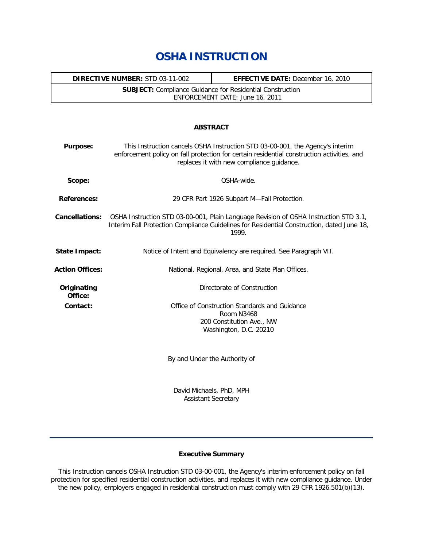# **OSHA INSTRUCTION**

| <b>DIRECTIVE NUMBER:</b> STD 03-11-002                           | <b>EFFECTIVE DATE:</b> December 16, 2010 |
|------------------------------------------------------------------|------------------------------------------|
| <b>SUBJECT:</b> Compliance Guidance for Residential Construction |                                          |
| ENFORCEMENT DATE: June 16, 2011                                  |                                          |

## **ABSTRACT**

| <b>Purpose:</b>        | This Instruction cancels OSHA Instruction STD 03-00-001, the Agency's interim<br>enforcement policy on fall protection for certain residential construction activities, and<br>replaces it with new compliance guidance. |
|------------------------|--------------------------------------------------------------------------------------------------------------------------------------------------------------------------------------------------------------------------|
| Scope:                 | OSHA-wide.                                                                                                                                                                                                               |
| <b>References:</b>     | 29 CFR Part 1926 Subpart M-Fall Protection.                                                                                                                                                                              |
| <b>Cancellations:</b>  | OSHA Instruction STD 03-00-001, Plain Language Revision of OSHA Instruction STD 3.1,<br>Interim Fall Protection Compliance Guidelines for Residential Construction, dated June 18,<br>1999.                              |
| <b>State Impact:</b>   | Notice of Intent and Equivalency are required. See Paragraph VII.                                                                                                                                                        |
| <b>Action Offices:</b> | National, Regional, Area, and State Plan Offices.                                                                                                                                                                        |
| Originating<br>Office: | Directorate of Construction                                                                                                                                                                                              |
| Contact:               | Office of Construction Standards and Guidance<br>Room N3468<br>200 Constitution Ave., NW<br>Washington, D.C. 20210<br>By and Under the Authority of                                                                      |
|                        |                                                                                                                                                                                                                          |

David Michaels, PhD, MPH Assistant Secretary

# **Executive Summary**

This Instruction cancels OSHA Instruction STD 03-00-001, the Agency's interim enforcement policy on fall protection for specified residential construction activities, and replaces it with new compliance guidance. Under the new policy, employers engaged in residential construction must comply with 29 CFR 1926.501(b)(13).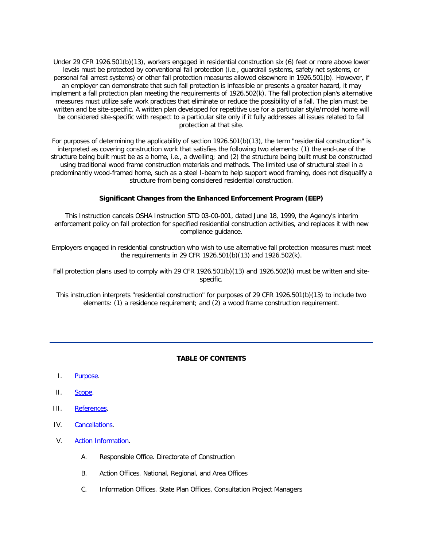Under 29 CFR 1926.501(b)(13), workers engaged in residential construction six (6) feet or more above lower levels must be protected by conventional fall protection (i.e., guardrail systems, safety net systems, or personal fall arrest systems) or other fall protection measures allowed elsewhere in 1926.501(b). However, if an employer can demonstrate that such fall protection is infeasible or presents a greater hazard, it may implement a fall protection plan meeting the requirements of 1926.502(k). The fall protection plan's alternative measures must utilize safe work practices that eliminate or reduce the possibility of a fall. The plan must be written and be site-specific. A written plan developed for repetitive use for a particular style/model home will be considered site-specific with respect to a particular site only if it fully addresses all issues related to fall protection at that site.

For purposes of determining the applicability of section 1926.501(b)(13), the term "residential construction" is interpreted as covering construction work that satisfies the following two elements: (1) the end-use of the structure being built must be as a home, i.e., a dwelling; and (2) the structure being built must be constructed using traditional wood frame construction materials and methods. The limited use of structural steel in a predominantly wood-framed home, such as a steel I-beam to help support wood framing, does not disqualify a structure from being considered residential construction.

## **Significant Changes from the Enhanced Enforcement Program (EEP)**

This Instruction cancels OSHA Instruction STD 03-00-001, dated June 18, 1999, the Agency's interim enforcement policy on fall protection for specified residential construction activities, and replaces it with new compliance guidance.

Employers engaged in residential construction who wish to use alternative fall protection measures must meet the requirements in 29 CFR 1926.501(b)(13) and 1926.502(k).

Fall protection plans used to comply with 29 CFR 1926.501(b)(13) and 1926.502(k) must be written and sitespecific.

This instruction interprets "residential construction" for purposes of 29 CFR 1926.501(b)(13) to include two elements: (1) a residence requirement; and (2) a wood frame construction requirement.

## **TABLE OF CONTENTS**

- I. [Purpose.](http://www.osha.gov/pls/oshaweb/owadisp.show_document?p_table=DIRECTIVES&p_id=4755#I)
- II. [Scope.](http://www.osha.gov/pls/oshaweb/owadisp.show_document?p_table=DIRECTIVES&p_id=4755#II)
- III. [References.](http://www.osha.gov/pls/oshaweb/owadisp.show_document?p_table=DIRECTIVES&p_id=4755#III)
- IV. [Cancellations.](http://www.osha.gov/pls/oshaweb/owadisp.show_document?p_table=DIRECTIVES&p_id=4755#IV)
- V. [Action Information.](http://www.osha.gov/pls/oshaweb/owadisp.show_document?p_table=DIRECTIVES&p_id=4755#V)
	- A. Responsible Office. Directorate of Construction
	- B. Action Offices. National, Regional, and Area Offices
	- C. Information Offices. State Plan Offices, Consultation Project Managers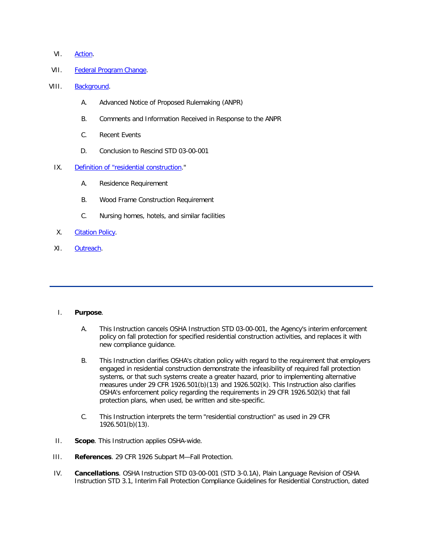- VI. [Action.](http://www.osha.gov/pls/oshaweb/owadisp.show_document?p_table=DIRECTIVES&p_id=4755#VI)
- VII. [Federal Program Change.](http://www.osha.gov/pls/oshaweb/owadisp.show_document?p_table=DIRECTIVES&p_id=4755#VII)
- VIII. [Background.](http://www.osha.gov/pls/oshaweb/owadisp.show_document?p_table=DIRECTIVES&p_id=4755#VIII)
	- A. Advanced Notice of Proposed Rulemaking (ANPR)
	- B. Comments and Information Received in Response to the ANPR
	- C. Recent Events
	- D. Conclusion to Rescind STD 03-00-001
	- IX. [Definition of "residential construction.](http://www.osha.gov/pls/oshaweb/owadisp.show_document?p_table=DIRECTIVES&p_id=4755#IX)"
		- A. Residence Requirement
		- B. Wood Frame Construction Requirement
		- C. Nursing homes, hotels, and similar facilities
	- X. [Citation Policy.](http://www.osha.gov/pls/oshaweb/owadisp.show_document?p_table=DIRECTIVES&p_id=4755#X)
	- XI. [Outreach.](http://www.osha.gov/pls/oshaweb/owadisp.show_document?p_table=DIRECTIVES&p_id=4755#XI)

## I. **Purpose**.

- A. This Instruction cancels OSHA Instruction STD 03-00-001, the Agency's interim enforcement policy on fall protection for specified residential construction activities, and replaces it with new compliance guidance.
- B. This Instruction clarifies OSHA's citation policy with regard to the requirement that employers engaged in residential construction demonstrate the infeasibility of required fall protection systems, or that such systems create a greater hazard, prior to implementing alternative measures under 29 CFR 1926.501(b)(13) and 1926.502(k). This Instruction also clarifies OSHA's enforcement policy regarding the requirements in 29 CFR 1926.502(k) that fall protection plans, when used, be written and site-specific.
- C. This Instruction interprets the term "residential construction" as used in 29 CFR 1926.501(b)(13).
- II. **Scope**. This Instruction applies OSHA-wide.
- III. **References**. 29 CFR 1926 Subpart M—Fall Protection.
- IV. **Cancellations**. OSHA Instruction STD 03-00-001 (STD 3-0.1A), Plain Language Revision of OSHA Instruction STD 3.1, Interim Fall Protection Compliance Guidelines for Residential Construction, dated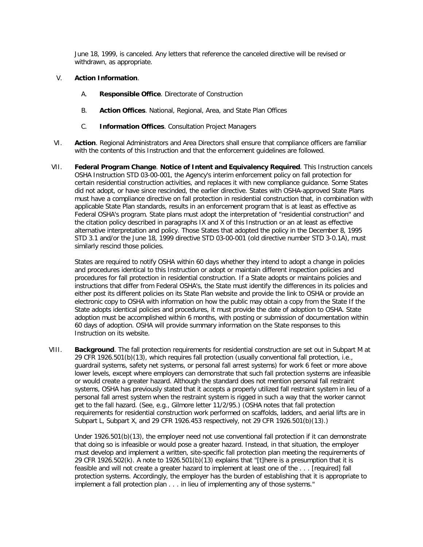June 18, 1999, is canceled. Any letters that reference the canceled directive will be revised or withdrawn, as appropriate.

# V. **Action Information**.

- A. **Responsible Office**. Directorate of Construction
- B. **Action Offices**. National, Regional, Area, and State Plan Offices
- C. **Information Offices**. Consultation Project Managers
- VI. **Action**. Regional Administrators and Area Directors shall ensure that compliance officers are familiar with the contents of this Instruction and that the enforcement guidelines are followed.
- VII. **Federal Program Change**. **Notice of Intent and Equivalency Required**. This Instruction cancels OSHA Instruction STD 03-00-001, the Agency's interim enforcement policy on fall protection for certain residential construction activities, and replaces it with new compliance guidance. Some States did not adopt, or have since rescinded, the earlier directive. States with OSHA-approved State Plans must have a compliance directive on fall protection in residential construction that, in combination with applicable State Plan standards, results in an enforcement program that is at least as effective as Federal OSHA's program. State plans must adopt the interpretation of "residential construction" and the citation policy described in paragraphs IX and X of this Instruction or an at least as effective alternative interpretation and policy. Those States that adopted the policy in the December 8, 1995 STD 3.1 and/or the June 18, 1999 directive STD 03-00-001 (old directive number STD 3-0.1A), must similarly rescind those policies.

States are required to notify OSHA within 60 days whether they intend to adopt a change in policies and procedures identical to this Instruction or adopt or maintain different inspection policies and procedures for fall protection in residential construction. If a State adopts or maintains policies and instructions that differ from Federal OSHA's, the State must identify the differences in its policies and either post its different policies on its State Plan website and provide the link to OSHA or provide an electronic copy to OSHA with information on how the public may obtain a copy from the State If the State adopts identical policies and procedures, it must provide the date of adoption to OSHA. State adoption must be accomplished within 6 months, with posting or submission of documentation within 60 days of adoption. OSHA will provide summary information on the State responses to this Instruction on its website.

VIII. **Background**. The fall protection requirements for residential construction are set out in Subpart M at 29 CFR 1926.501(b)(13), which requires fall protection (usually conventional fall protection, i.e., guardrail systems, safety net systems, or personal fall arrest systems) for work 6 feet or more above lower levels, except where employers can demonstrate that such fall protection systems are infeasible or would create a greater hazard. Although the standard does not mention personal fall restraint systems, OSHA has previously stated that it accepts a properly utilized fall restraint system in lieu of a personal fall arrest system when the restraint system is rigged in such a way that the worker cannot get to the fall hazard. (See, e.g., Gilmore letter 11/2/95.) (OSHA notes that fall protection requirements for residential construction work performed on scaffolds, ladders, and aerial lifts are in Subpart L, Subpart X, and 29 CFR 1926.453 respectively, not 29 CFR 1926.501(b)(13).)

Under 1926.501(b)(13), the employer need not use conventional fall protection if it can demonstrate that doing so is infeasible or would pose a greater hazard. Instead, in that situation, the employer must develop and implement a written, site-specific fall protection plan meeting the requirements of 29 CFR 1926.502(k). A note to 1926.501(b)(13) explains that "[t]here is a presumption that it is feasible and will not create a greater hazard to implement at least one of the . . . [required] fall protection systems. Accordingly, the employer has the burden of establishing that it is appropriate to implement a fall protection plan . . . in lieu of implementing any of those systems."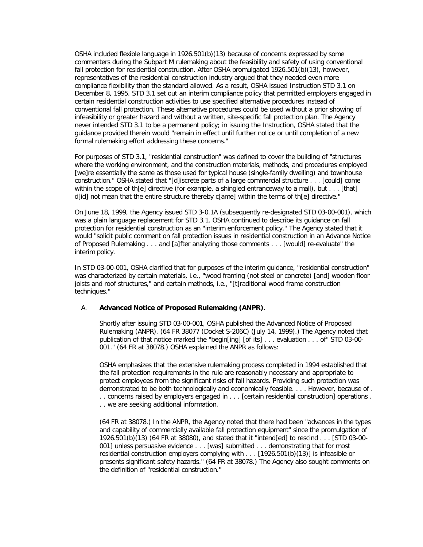OSHA included flexible language in 1926.501(b)(13) because of concerns expressed by some commenters during the Subpart M rulemaking about the feasibility and safety of using conventional fall protection for residential construction. After OSHA promulgated 1926.501(b)(13), however, representatives of the residential construction industry argued that they needed even more compliance flexibility than the standard allowed. As a result, OSHA issued Instruction STD 3.1 on December 8, 1995. STD 3.1 set out an interim compliance policy that permitted employers engaged in certain residential construction activities to use specified alternative procedures instead of conventional fall protection. These alternative procedures could be used without a prior showing of infeasibility or greater hazard and without a written, site-specific fall protection plan. The Agency never intended STD 3.1 to be a permanent policy; in issuing the Instruction, OSHA stated that the guidance provided therein would "remain in effect until further notice or until completion of a new formal rulemaking effort addressing these concerns."

For purposes of STD 3.1, "residential construction" was defined to cover the building of "structures where the working environment, and the construction materials, methods, and procedures employed [we]re essentially the same as those used for typical house (single-family dwelling) and townhouse construction." OSHA stated that "[d]iscrete parts of a large commercial structure . . . [could] come within the scope of th[e] directive (for example, a shingled entranceway to a mall), but  $\dots$  [that] d[id] not mean that the entire structure thereby c[ame] within the terms of th[e] directive."

On June 18, 1999, the Agency issued STD 3-0.1A (subsequently re-designated STD 03-00-001), which was a plain language replacement for STD 3.1. OSHA continued to describe its guidance on fall protection for residential construction as an "interim enforcement policy." The Agency stated that it would "solicit public comment on fall protection issues in residential construction in an Advance Notice of Proposed Rulemaking . . . and [a]fter analyzing those comments . . . [would] re-evaluate" the interim policy.

In STD 03-00-001, OSHA clarified that for purposes of the interim guidance, "residential construction" was characterized by certain materials, i.e., "wood framing (not steel or concrete) [and] wooden floor joists and roof structures," and certain methods, i.e., "[t]raditional wood frame construction techniques."

# A. **Advanced Notice of Proposed Rulemaking (ANPR)**.

Shortly after issuing STD 03-00-001, OSHA published the Advanced Notice of Proposed Rulemaking (ANPR). (64 FR 38077 (Docket S-206C) (July 14, 1999).) The Agency noted that publication of that notice marked the "begin[ing] [of its] . . . evaluation . . . of" STD 03-00-001." (64 FR at 38078.) OSHA explained the ANPR as follows:

OSHA emphasizes that the extensive rulemaking process completed in 1994 established that the fall protection requirements in the rule are reasonably necessary and appropriate to protect employees from the significant risks of fall hazards. Providing such protection was demonstrated to be both technologically and economically feasible. . . . However, because of . . . concerns raised by employers engaged in . . . [certain residential construction] operations . . . we are seeking additional information.

(64 FR at 38078.) In the ANPR, the Agency noted that there had been "advances in the types and capability of commercially available fall protection equipment" since the promulgation of 1926.501(b)(13) (64 FR at 38080), and stated that it "intend[ed] to rescind . . . [STD 03-00- 001] unless persuasive evidence . . . [was] submitted . . . demonstrating that for most residential construction employers complying with . . . [1926.501(b)(13)] is infeasible or presents significant safety hazards." (64 FR at 38078.) The Agency also sought comments on the definition of "residential construction."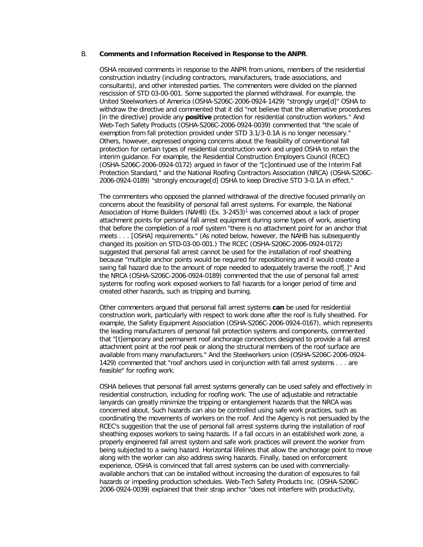#### B. **Comments and Information Received in Response to the ANPR**.

OSHA received comments in response to the ANPR from unions, members of the residential construction industry (including contractors, manufacturers, trade associations, and consultants), and other interested parties. The commenters were divided on the planned rescission of STD 03-00-001. Some supported the planned withdrawal. For example, the United Steelworkers of America (OSHA-S206C-2006-0924-1429) "strongly urge[d]" OSHA to withdraw the directive and commented that it did "not believe that the alternative procedures [in the directive] provide any **positive** protection for residential construction workers." And Web-Tech Safety Products (OSHA-S206C-2006-0924-0039) commented that "the scale of exemption from fall protection provided under STD 3.1/3-0.1A is no longer necessary." Others, however, expressed ongoing concerns about the feasibility of conventional fall protection for certain types of residential construction work and urged OSHA to retain the interim guidance. For example, the Residential Construction Employers Council (RCEC) (OSHA-S206C-2006-0924-0172) argued in favor of the "[c]ontinued use of the Interim Fall Protection Standard," and the National Roofing Contractors Association (NRCA) (OSHA-S206C-2006-0924-0189) "strongly encourage[d] OSHA to keep Directive STD 3-0.1A in effect."

The commenters who opposed the planned withdrawal of the directive focused primarily on concerns about the feasibility of personal fall arrest systems. For example, the National Association of Home Builders (NAHB[\)](http://www.osha.gov/pls/oshaweb/owadisp.show_document?p_table=DIRECTIVES&p_id=4755#1) (Ex.  $3-2453$ )<sup>1</sup> was concerned about a lack of proper attachment points for personal fall arrest equipment during some types of work, asserting that before the completion of a roof system "there is no attachment point for an anchor that meets . . . [OSHA] requirements." (As noted below, however, the NAHB has subsequently changed its position on STD-03-00-001.) The RCEC (OSHA-S206C-2006-0924-0172) suggested that personal fall arrest cannot be used for the installation of roof sheathing because "multiple anchor points would be required for repositioning and it would create a swing fall hazard due to the amount of rope needed to adequately traverse the roof[.]" And the NRCA (OSHA-S206C-2006-0924-0189) commented that the use of personal fall arrest systems for roofing work exposed workers to fall hazards for a longer period of time and created other hazards, such as tripping and burning.

Other commenters argued that personal fall arrest systems **can** be used for residential construction work, particularly with respect to work done after the roof is fully sheathed. For example, the Safety Equipment Association (OSHA-S206C-2006-0924-0167), which represents the leading manufacturers of personal fall protection systems and components, commented that "[t]emporary and permanent roof anchorage connectors designed to provide a fall arrest attachment point at the roof peak or along the structural members of the roof surface are available from many manufacturers." And the Steelworkers union (OSHA-S206C-2006-0924- 1429) commented that "roof anchors used in conjunction with fall arrest systems . . . are feasible" for roofing work.

OSHA believes that personal fall arrest systems generally can be used safely and effectively in residential construction, including for roofing work. The use of adjustable and retractable lanyards can greatly minimize the tripping or entanglement hazards that the NRCA was concerned about. Such hazards can also be controlled using safe work practices, such as coordinating the movements of workers on the roof. And the Agency is not persuaded by the RCEC's suggestion that the use of personal fall arrest systems during the installation of roof sheathing exposes workers to swing hazards. If a fall occurs in an established work zone, a properly engineered fall arrest system and safe work practices will prevent the worker from being subjected to a swing hazard. Horizontal lifelines that allow the anchorage point to move along with the worker can also address swing hazards. Finally, based on enforcement experience, OSHA is convinced that fall arrest systems can be used with commerciallyavailable anchors that can be installed without increasing the duration of exposures to fall hazards or impeding production schedules. Web-Tech Safety Products Inc. (OSHA-S206C-2006-0924-0039) explained that their strap anchor "does not interfere with productivity,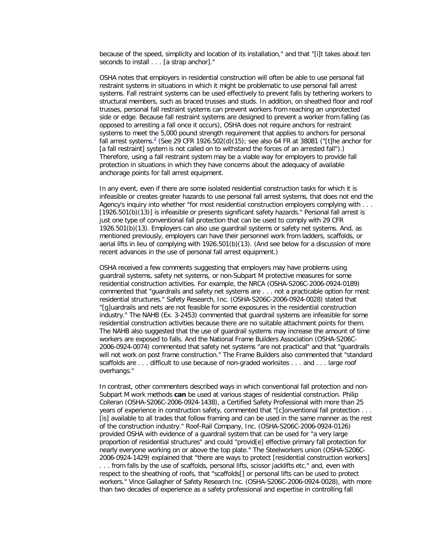because of the speed, simplicity and location of its installation," and that "[i]t takes about ten seconds to install . . . [a strap anchor]."

OSHA notes that employers in residential construction will often be able to use personal fall restraint systems in situations in which it might be problematic to use personal fall arrest systems. Fall restraint systems can be used effectively to prevent falls by tethering workers to structural members, such as braced trusses and studs. In addition, on sheathed floor and roof trusses, personal fall restraint systems can prevent workers from reaching an unprotected side or edge. Because fall restraint systems are designed to prevent a worker from falling (as opposed to arresting a fall once it occurs), OSHA does not require anchors for restraint systems to meet the 5,000 pound strength requirement that applies to anchors for personal fall arrest systems.<sup>[2](http://www.osha.gov/pls/oshaweb/owadisp.show_document?p_table=DIRECTIVES&p_id=4755#2)</sup> (See 29 CFR 1926.502(d)(15); see also 64 FR at 38081 ("[t]he anchor for [a fall restraint] system is not called on to withstand the forces of an arrested fall").) Therefore, using a fall restraint system may be a viable way for employers to provide fall protection in situations in which they have concerns about the adequacy of available anchorage points for fall arrest equipment.

In any event, even if there are some isolated residential construction tasks for which it is infeasible or creates greater hazards to use personal fall arrest systems, that does not end the Agency's inquiry into whether "for most residential construction employers complying with . . . [1926.501(b)(13)] is infeasible or presents significant safety hazards." Personal fall arrest is just one type of conventional fall protection that can be used to comply with 29 CFR 1926.501(b)(13). Employers can also use guardrail systems or safety net systems. And, as mentioned previously, employers can have their personnel work from ladders, scaffolds, or aerial lifts in lieu of complying with 1926.501(b)(13). (And see below for a discussion of more recent advances in the use of personal fall arrest equipment.)

OSHA received a few comments suggesting that employers may have problems using guardrail systems, safety net systems, or non-Subpart M protective measures for some residential construction activities. For example, the NRCA (OSHA-S206C-2006-0924-0189) commented that "guardrails and safety net systems are . . . not a practicable option for most residential structures." Safety Research, Inc. (OSHA-S206C-2006-0924-0028) stated that "[g]uardrails and nets are not feasible for some exposures in the residential construction industry." The NAHB (Ex. 3-2453) commented that guardrail systems are infeasible for some residential construction activities because there are no suitable attachment points for them. The NAHB also suggested that the use of guardrail systems may increase the amount of time workers are exposed to falls. And the National Frame Builders Association (OSHA-S206C-2006-0924-0074) commented that safety net systems "are not practical" and that "guardrails will not work on post frame construction." The Frame Builders also commented that "standard scaffolds are . . . difficult to use because of non-graded worksites . . . and . . . large roof overhangs."

In contrast, other commenters described ways in which conventional fall protection and non-Subpart M work methods **can** be used at various stages of residential construction. Philip Colleran (OSHA-S206C-2006-0924-1438), a Certified Safety Professional with more than 25 years of experience in construction safety, commented that "[c]onventional fall protection . . . [is] available to all trades that follow framing and can be used in the same manner as the rest of the construction industry." Roof-Rail Company, Inc. (OSHA-S206C-2006-0924-0126) provided OSHA with evidence of a guardrail system that can be used for "a very large proportion of residential structures" and could "provid[e] effective primary fall protection for nearly everyone working on or above the top plate." The Steelworkers union (OSHA-S206C-2006-0924-1429) explained that "there are ways to protect [residential construction workers]

. . . from falls by the use of scaffolds, personal lifts, scissor jacklifts etc." and, even with respect to the sheathing of roofs, that "scaffolds[] or personal lifts can be used to protect workers." Vince Gallagher of Safety Research Inc. (OSHA-S206C-2006-0924-0028), with more than two decades of experience as a safety professional and expertise in controlling fall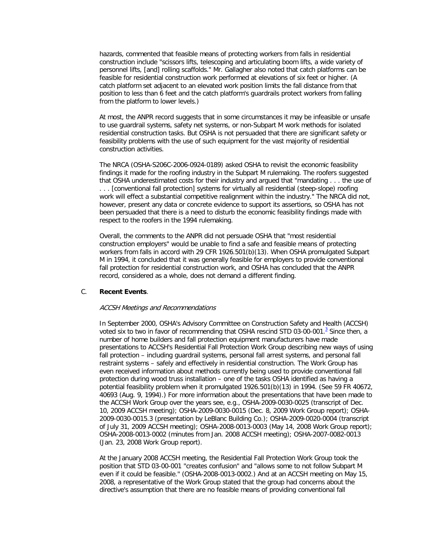hazards, commented that feasible means of protecting workers from falls in residential construction include "scissors lifts, telescoping and articulating boom lifts, a wide variety of personnel lifts, [and] rolling scaffolds." Mr. Gallagher also noted that catch platforms can be feasible for residential construction work performed at elevations of six feet or higher. (A catch platform set adjacent to an elevated work position limits the fall distance from that position to less than 6 feet and the catch platform's guardrails protect workers from falling from the platform to lower levels.)

At most, the ANPR record suggests that in some circumstances it may be infeasible or unsafe to use guardrail systems, safety net systems, or non-Subpart M work methods for isolated residential construction tasks. But OSHA is not persuaded that there are significant safety or feasibility problems with the use of such equipment for the vast majority of residential construction activities.

The NRCA (OSHA-S206C-2006-0924-0189) asked OSHA to revisit the economic feasibility findings it made for the roofing industry in the Subpart M rulemaking. The roofers suggested that OSHA underestimated costs for their industry and argued that "mandating . . . the use of . . . [conventional fall protection] systems for virtually all residential (steep-slope) roofing work will effect a substantial competitive realignment within the industry." The NRCA did not, however, present any data or concrete evidence to support its assertions, so OSHA has not been persuaded that there is a need to disturb the economic feasibility findings made with respect to the roofers in the 1994 rulemaking.

Overall, the comments to the ANPR did not persuade OSHA that "most residential construction employers" would be unable to find a safe and feasible means of protecting workers from falls in accord with 29 CFR 1926.501(b)(13). When OSHA promulgated Subpart M in 1994, it concluded that it was generally feasible for employers to provide conventional fall protection for residential construction work, and OSHA has concluded that the ANPR record, considered as a whole, does not demand a different finding.

## C. **Recent Events**.

#### ACCSH Meetings and Recommendations

In September 2000, OSHA's Advisory Committee on Construction Safety and Health (ACCSH) voted six to two in favor of recommending that OSHA rescind STD 0[3](http://www.osha.gov/pls/oshaweb/owadisp.show_document?p_table=DIRECTIVES&p_id=4755#3)-00-001. $^3$  Since then, a number of home builders and fall protection equipment manufacturers have made presentations to ACCSH's Residential Fall Protection Work Group describing new ways of using fall protection – including guardrail systems, personal fall arrest systems, and personal fall restraint systems – safely and effectively in residential construction. The Work Group has even received information about methods currently being used to provide conventional fall protection during wood truss installation – one of the tasks OSHA identified as having a potential feasibility problem when it promulgated 1926.501(b)(13) in 1994. (See 59 FR 40672, 40693 (Aug. 9, 1994).) For more information about the presentations that have been made to the ACCSH Work Group over the years see, e.g., OSHA-2009-0030-0025 (transcript of Dec. 10, 2009 ACCSH meeting); OSHA-2009-0030-0015 (Dec. 8, 2009 Work Group report); OSHA-2009-0030-0015.3 (presentation by LeBlanc Building Co.); OSHA-2009-0020-0004 (transcript of July 31, 2009 ACCSH meeting); OSHA-2008-0013-0003 (May 14, 2008 Work Group report); OSHA-2008-0013-0002 (minutes from Jan. 2008 ACCSH meeting); OSHA-2007-0082-0013 (Jan. 23, 2008 Work Group report).

At the January 2008 ACCSH meeting, the Residential Fall Protection Work Group took the position that STD 03-00-001 "creates confusion" and "allows some to not follow Subpart M even if it could be feasible." (OSHA-2008-0013-0002.) And at an ACCSH meeting on May 15, 2008, a representative of the Work Group stated that the group had concerns about the directive's assumption that there are no feasible means of providing conventional fall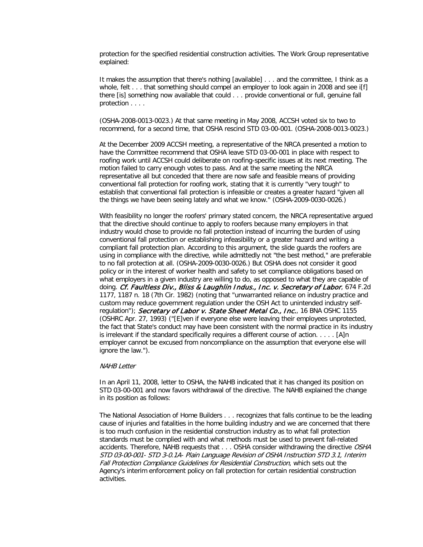protection for the specified residential construction activities. The Work Group representative explained:

It makes the assumption that there's nothing [available] . . . and the committee, I think as a whole, felt . . . that something should compel an employer to look again in 2008 and see iff there [is] something now available that could . . . provide conventional or full, genuine fall protection . . . .

(OSHA-2008-0013-0023.) At that same meeting in May 2008, ACCSH voted six to two to recommend, for a second time, that OSHA rescind STD 03-00-001. (OSHA-2008-0013-0023.)

At the December 2009 ACCSH meeting, a representative of the NRCA presented a motion to have the Committee recommend that OSHA leave STD 03-00-001 in place with respect to roofing work until ACCSH could deliberate on roofing-specific issues at its next meeting. The motion failed to carry enough votes to pass. And at the same meeting the NRCA representative all but conceded that there are now safe and feasible means of providing conventional fall protection for roofing work, stating that it is currently "very tough" to establish that conventional fall protection is infeasible or creates a greater hazard "given all the things we have been seeing lately and what we know." (OSHA-2009-0030-0026.)

With feasibility no longer the roofers' primary stated concern, the NRCA representative argued that the directive should continue to apply to roofers because many employers in that industry would chose to provide no fall protection instead of incurring the burden of using conventional fall protection or establishing infeasibility or a greater hazard and writing a compliant fall protection plan. According to this argument, the slide guards the roofers are using in compliance with the directive, while admittedly not "the best method," are preferable to no fall protection at all. (OSHA-2009-0030-0026.) But OSHA does not consider it good policy or in the interest of worker health and safety to set compliance obligations based on what employers in a given industry are willing to do, as opposed to what they are capable of doing. Cf. Faultless Div., Bliss & Laughlin Indus., Inc. v. Secretary of Labor, 674 F.2d 1177, 1187 n. 18 (7th Cir. 1982) (noting that "unwarranted reliance on industry practice and custom may reduce government regulation under the OSH Act to unintended industry selfregulation"); Secretary of Labor v. State Sheet Metal Co., Inc., 16 BNA OSHC 1155 (OSHRC Apr. 27, 1993) ("[E]ven if everyone else were leaving their employees unprotected, the fact that State's conduct may have been consistent with the normal practice in its industry is irrelevant if the standard specifically requires a different course of action. . . . . [A]n employer cannot be excused from noncompliance on the assumption that everyone else will ignore the law.").

#### NAHB Letter

In an April 11, 2008, letter to OSHA, the NAHB indicated that it has changed its position on STD 03-00-001 and now favors withdrawal of the directive. The NAHB explained the change in its position as follows:

The National Association of Home Builders . . . recognizes that falls continue to be the leading cause of injuries and fatalities in the home building industry and we are concerned that there is too much confusion in the residential construction industry as to what fall protection standards must be complied with and what methods must be used to prevent fall-related accidents. Therefore, NAHB requests that . . . OSHA consider withdrawing the directive OSHA STD 03-00-001- STD 3-0.1A- Plain Language Revision of OSHA Instruction STD 3.1, Interim Fall Protection Compliance Guidelines for Residential Construction, which sets out the Agency's interim enforcement policy on fall protection for certain residential construction activities.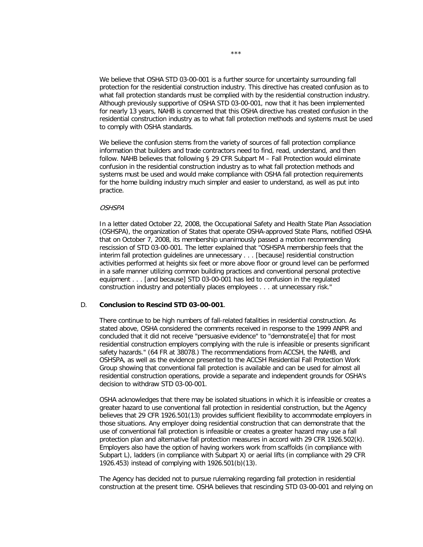We believe that OSHA STD 03-00-001 is a further source for uncertainty surrounding fall protection for the residential construction industry. This directive has created confusion as to what fall protection standards must be complied with by the residential construction industry. Although previously supportive of OSHA STD 03-00-001, now that it has been implemented for nearly 13 years, NAHB is concerned that this OSHA directive has created confusion in the residential construction industry as to what fall protection methods and systems must be used to comply with OSHA standards.

We believe the confusion stems from the variety of sources of fall protection compliance information that builders and trade contractors need to find, read, understand, and then follow. NAHB believes that following § 29 CFR Subpart M - Fall Protection would eliminate confusion in the residential construction industry as to what fall protection methods and systems must be used and would make compliance with OSHA fall protection requirements for the home building industry much simpler and easier to understand, as well as put into practice.

#### **OSHSPA**

In a letter dated October 22, 2008, the Occupational Safety and Health State Plan Association (OSHSPA), the organization of States that operate OSHA-approved State Plans, notified OSHA that on October 7, 2008, its membership unanimously passed a motion recommending rescission of STD 03-00-001. The letter explained that "OSHSPA membership feels that the interim fall protection guidelines are unnecessary . . . [because] residential construction activities performed at heights six feet or more above floor or ground level can be performed in a safe manner utilizing common building practices and conventional personal protective equipment . . . [and because] STD 03-00-001 has led to confusion in the regulated construction industry and potentially places employees . . . at unnecessary risk."

### D. **Conclusion to Rescind STD 03-00-001**.

There continue to be high numbers of fall-related fatalities in residential construction. As stated above, OSHA considered the comments received in response to the 1999 ANPR and concluded that it did not receive "persuasive evidence" to "demonstrate[e] that for most residential construction employers complying with the rule is infeasible or presents significant safety hazards." (64 FR at 38078.) The recommendations from ACCSH, the NAHB, and OSHSPA, as well as the evidence presented to the ACCSH Residential Fall Protection Work Group showing that conventional fall protection is available and can be used for almost all residential construction operations, provide a separate and independent grounds for OSHA's decision to withdraw STD 03-00-001.

OSHA acknowledges that there may be isolated situations in which it is infeasible or creates a greater hazard to use conventional fall protection in residential construction, but the Agency believes that 29 CFR 1926.501(13) provides sufficient flexibility to accommodate employers in those situations. Any employer doing residential construction that can demonstrate that the use of conventional fall protection is infeasible or creates a greater hazard may use a fall protection plan and alternative fall protection measures in accord with 29 CFR 1926.502(k). Employers also have the option of having workers work from scaffolds (in compliance with Subpart L), ladders (in compliance with Subpart X) or aerial lifts (in compliance with 29 CFR 1926.453) instead of complying with 1926.501(b)(13).

The Agency has decided not to pursue rulemaking regarding fall protection in residential construction at the present time. OSHA believes that rescinding STD 03-00-001 and relying on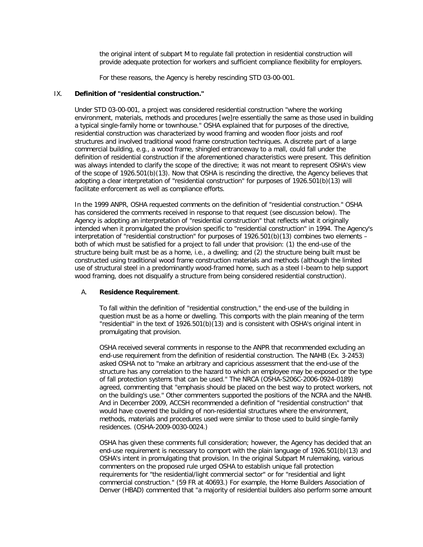the original intent of subpart M to regulate fall protection in residential construction will provide adequate protection for workers and sufficient compliance flexibility for employers.

For these reasons, the Agency is hereby rescinding STD 03-00-001.

## IX. **Definition of "residential construction."**

Under STD 03-00-001, a project was considered residential construction "where the working environment, materials, methods and procedures [we]re essentially the same as those used in building a typical single-family home or townhouse." OSHA explained that for purposes of the directive, residential construction was characterized by wood framing and wooden floor joists and roof structures and involved traditional wood frame construction techniques. A discrete part of a large commercial building, e.g., a wood frame, shingled entranceway to a mall, could fall under the definition of residential construction if the aforementioned characteristics were present. This definition was always intended to clarify the scope of the directive; it was not meant to represent OSHA's view of the scope of 1926.501(b)(13). Now that OSHA is rescinding the directive, the Agency believes that adopting a clear interpretation of "residential construction" for purposes of 1926.501(b)(13) will facilitate enforcement as well as compliance efforts.

In the 1999 ANPR, OSHA requested comments on the definition of "residential construction." OSHA has considered the comments received in response to that request (see discussion below). The Agency is adopting an interpretation of "residential construction" that reflects what it originally intended when it promulgated the provision specific to "residential construction" in 1994. The Agency's interpretation of "residential construction" for purposes of 1926.501(b)(13) combines two elements – both of which must be satisfied for a project to fall under that provision: (1) the end-use of the structure being built must be as a home, i.e., a dwelling; and (2) the structure being built must be constructed using traditional wood frame construction materials and methods (although the limited use of structural steel in a predominantly wood-framed home, such as a steel I-beam to help support wood framing, does not disqualify a structure from being considered residential construction).

# A. **Residence Requirement**.

To fall within the definition of "residential construction," the end-use of the building in question must be as a home or dwelling. This comports with the plain meaning of the term "residential" in the text of 1926.501(b)(13) and is consistent with OSHA's original intent in promulgating that provision.

OSHA received several comments in response to the ANPR that recommended excluding an end-use requirement from the definition of residential construction. The NAHB (Ex. 3-2453) asked OSHA not to "make an arbitrary and capricious assessment that the end-use of the structure has any correlation to the hazard to which an employee may be exposed or the type of fall protection systems that can be used." The NRCA (OSHA-S206C-2006-0924-0189) agreed, commenting that "emphasis should be placed on the best way to protect workers, not on the building's use." Other commenters supported the positions of the NCRA and the NAHB. And in December 2009, ACCSH recommended a definition of "residential construction" that would have covered the building of non-residential structures where the environment, methods, materials and procedures used were similar to those used to build single-family residences. (OSHA-2009-0030-0024.)

OSHA has given these comments full consideration; however, the Agency has decided that an end-use requirement is necessary to comport with the plain language of 1926.501(b)(13) and OSHA's intent in promulgating that provision. In the original Subpart M rulemaking, various commenters on the proposed rule urged OSHA to establish unique fall protection requirements for "the residential/light commercial sector" or for "residential and light commercial construction." (59 FR at 40693.) For example, the Home Builders Association of Denver (HBAD) commented that "a majority of residential builders also perform some amount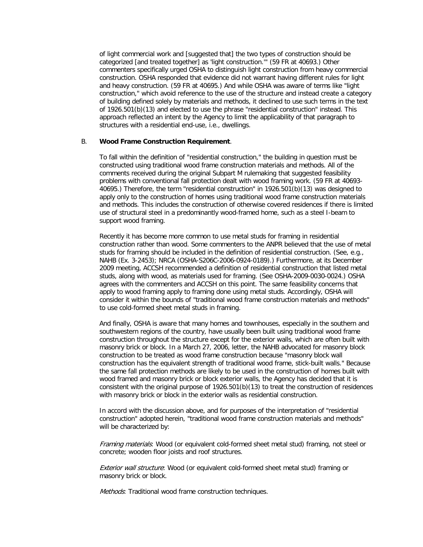of light commercial work and [suggested that] the two types of construction should be categorized [and treated together] as 'light construction.'" (59 FR at 40693.) Other commenters specifically urged OSHA to distinguish light construction from heavy commercial construction. OSHA responded that evidence did not warrant having different rules for light and heavy construction. (59 FR at 40695.) And while OSHA was aware of terms like "light construction," which avoid reference to the use of the structure and instead create a category of building defined solely by materials and methods, it declined to use such terms in the text of 1926.501(b)(13) and elected to use the phrase "residential construction" instead. This approach reflected an intent by the Agency to limit the applicability of that paragraph to structures with a residential end-use, i.e., dwellings.

## B. **Wood Frame Construction Requirement**.

To fall within the definition of "residential construction," the building in question must be constructed using traditional wood frame construction materials and methods. All of the comments received during the original Subpart M rulemaking that suggested feasibility problems with conventional fall protection dealt with wood framing work. (59 FR at 40693- 40695.) Therefore, the term "residential construction" in 1926.501(b)(13) was designed to apply only to the construction of homes using traditional wood frame construction materials and methods. This includes the construction of otherwise covered residences if there is limited use of structural steel in a predominantly wood-framed home, such as a steel I-beam to support wood framing.

Recently it has become more common to use metal studs for framing in residential construction rather than wood. Some commenters to the ANPR believed that the use of metal studs for framing should be included in the definition of residential construction. (See, e.g., NAHB (Ex. 3-2453); NRCA (OSHA-S206C-2006-0924-0189).) Furthermore, at its December 2009 meeting, ACCSH recommended a definition of residential construction that listed metal studs, along with wood, as materials used for framing. (See OSHA-2009-0030-0024.) OSHA agrees with the commenters and ACCSH on this point. The same feasibility concerns that apply to wood framing apply to framing done using metal studs. Accordingly, OSHA will consider it within the bounds of "traditional wood frame construction materials and methods" to use cold-formed sheet metal studs in framing.

And finally, OSHA is aware that many homes and townhouses, especially in the southern and southwestern regions of the country, have usually been built using traditional wood frame construction throughout the structure except for the exterior walls, which are often built with masonry brick or block. In a March 27, 2006, letter, the NAHB advocated for masonry block construction to be treated as wood frame construction because "masonry block wall construction has the equivalent strength of traditional wood frame, stick-built walls." Because the same fall protection methods are likely to be used in the construction of homes built with wood framed and masonry brick or block exterior walls, the Agency has decided that it is consistent with the original purpose of 1926.501(b)(13) to treat the construction of residences with masonry brick or block in the exterior walls as residential construction.

In accord with the discussion above, and for purposes of the interpretation of "residential construction" adopted herein, "traditional wood frame construction materials and methods" will be characterized by:

Framing materials: Wood (or equivalent cold-formed sheet metal stud) framing, not steel or concrete; wooden floor joists and roof structures.

**Exterior wall structure:** Wood (or equivalent cold-formed sheet metal stud) framing or masonry brick or block.

Methods: Traditional wood frame construction techniques.